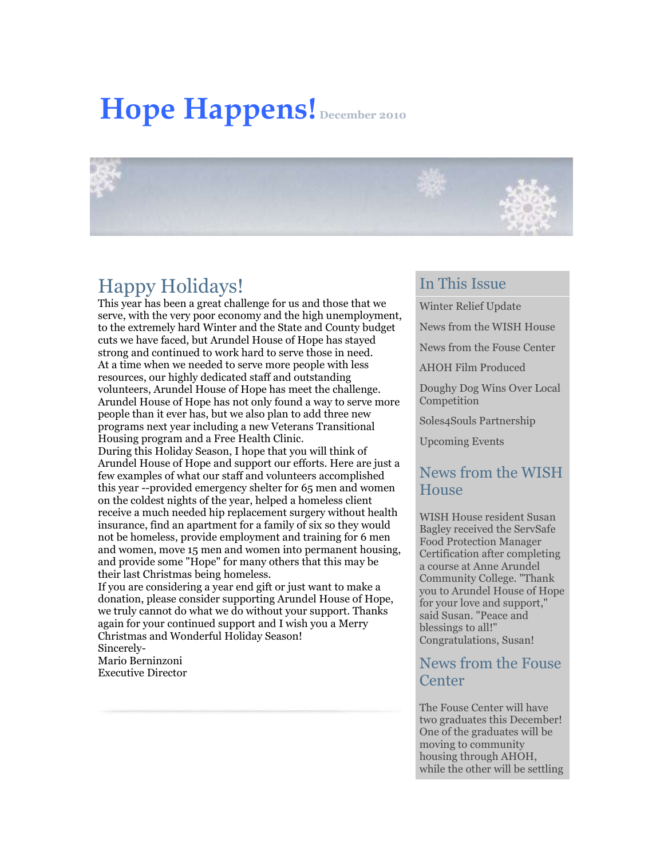# **Hope Happens! December 2010**



## Happy Holidays!

This year has been a great challenge for us and those that we serve, with the very poor economy and the high unemployment, to the extremely hard Winter and the State and County budget cuts we have faced, but Arundel House of Hope has stayed strong and continued to work hard to serve those in need. At a time when we needed to serve more people with less resources, our highly dedicated staff and outstanding volunteers, Arundel House of Hope has meet the challenge. Arundel House of Hope has not only found a way to serve more people than it ever has, but we also plan to add three new programs next year including a new Veterans Transitional Housing program and a Free Health Clinic.

During this Holiday Season, I hope that you will think of Arundel House of Hope and support our efforts. Here are just a few examples of what our staff and volunteers accomplished this year --provided emergency shelter for 65 men and women on the coldest nights of the year, helped a homeless client receive a much needed hip replacement surgery without health insurance, find an apartment for a family of six so they would not be homeless, provide employment and training for 6 men and women, move 15 men and women into permanent housing, and provide some "Hope" for many others that this may be their last Christmas being homeless.

If you are considering a year end gift or just want to make a donation, please consider supporting Arundel House of Hope, we truly cannot do what we do without your support. Thanks again for your continued support and I wish you a Merry Christmas and Wonderful Holiday Season! Sincerely-

Mario Berninzoni Executive Director

#### In This Issue

[Winter Relief Update](https://ui.constantcontact.com/visualeditor/visual_editor_preview.jsp?agent.uid=1104082971640&fromView=previewFromDetail&popin=true&previewFromDetail=true&previewFromSent=true&pageName=ecampaign.ve.edit#LETTER.BLOCK14)

[News from the WISH House](https://ui.constantcontact.com/visualeditor/visual_editor_preview.jsp?agent.uid=1104082971640&fromView=previewFromDetail&popin=true&previewFromDetail=true&previewFromSent=true&pageName=ecampaign.ve.edit#LETTER.BLOCK16)

[News from the Fouse Center](https://ui.constantcontact.com/visualeditor/visual_editor_preview.jsp?agent.uid=1104082971640&fromView=previewFromDetail&popin=true&previewFromDetail=true&previewFromSent=true&pageName=ecampaign.ve.edit#LETTER.BLOCK17)

[AHOH Film Produced](https://ui.constantcontact.com/visualeditor/visual_editor_preview.jsp?agent.uid=1104082971640&fromView=previewFromDetail&popin=true&previewFromDetail=true&previewFromSent=true&pageName=ecampaign.ve.edit#LETTER.BLOCK18)

[Doughy Dog Wins Over Local](https://ui.constantcontact.com/visualeditor/visual_editor_preview.jsp?agent.uid=1104082971640&fromView=previewFromDetail&popin=true&previewFromDetail=true&previewFromSent=true&pageName=ecampaign.ve.edit#LETTER.BLOCK19)  [Competition](https://ui.constantcontact.com/visualeditor/visual_editor_preview.jsp?agent.uid=1104082971640&fromView=previewFromDetail&popin=true&previewFromDetail=true&previewFromSent=true&pageName=ecampaign.ve.edit#LETTER.BLOCK19)

[Soles4Souls Partnership](https://ui.constantcontact.com/visualeditor/visual_editor_preview.jsp?agent.uid=1104082971640&fromView=previewFromDetail&popin=true&previewFromDetail=true&previewFromSent=true&pageName=ecampaign.ve.edit#LETTER.BLOCK20)

[Upcoming Events](https://ui.constantcontact.com/visualeditor/visual_editor_preview.jsp?agent.uid=1104082971640&fromView=previewFromDetail&popin=true&previewFromDetail=true&previewFromSent=true&pageName=ecampaign.ve.edit#LETTER.BLOCK21)

#### News from the WISH **House**

WISH House resident Susan Bagley received the ServSafe Food Protection Manager Certification after completing a course at Anne Arundel Community College. "Thank you to Arundel House of Hope for your love and support," said Susan. "Peace and blessings to all!" Congratulations, Susan!

#### News from the Fouse **Center**

The Fouse Center will have two graduates this December! One of the graduates will be moving to community housing through AHOH, while the other will be settling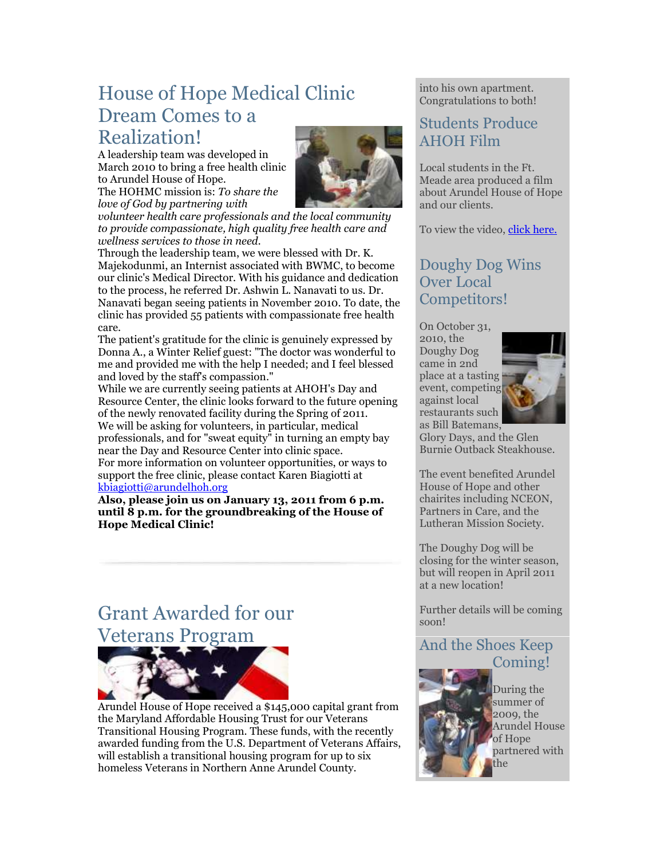## House of Hope Medical Clinic Dream Comes to a Realization!

A leadership team was developed in March 2010 to bring a free health clinic to Arundel House of Hope. The HOHMC mission is: *To share the* 

*love of God by partnering with* 



*volunteer health care professionals and the local community to provide compassionate, high quality free health care and wellness services to those in need.*

Through the leadership team, we were blessed with Dr. K. Majekodunmi, an Internist associated with BWMC, to become our clinic's Medical Director. With his guidance and dedication to the process, he referred Dr. Ashwin L. Nanavati to us. Dr. Nanavati began seeing patients in November 2010. To date, the clinic has provided 55 patients with compassionate free health care.

The patient's gratitude for the clinic is genuinely expressed by Donna A., a Winter Relief guest: "The doctor was wonderful to me and provided me with the help I needed; and I feel blessed and loved by the staff's compassion."

While we are currently seeing patients at AHOH's Day and Resource Center, the clinic looks forward to the future opening of the newly renovated facility during the Spring of 2011. We will be asking for volunteers, in particular, medical professionals, and for "sweat equity" in turning an empty bay near the Day and Resource Center into clinic space. For more information on volunteer opportunities, or ways to support the free clinic, please contact Karen Biagiotti at [kbiagiotti@arundelhoh.org](mailto:kbiagiotti@arundelhoh.org)

**Also, please join us on January 13, 2011 from 6 p.m. until 8 p.m. for the groundbreaking of the House of Hope Medical Clinic!**

# Grant Awarded for our Veterans Program



Arundel House of Hope received a \$145,000 capital grant from the Maryland Affordable Housing Trust for our Veterans Transitional Housing Program. These funds, with the recently awarded funding from the U.S. Department of Veterans Affairs, will establish a transitional housing program for up to six homeless Veterans in Northern Anne Arundel County.

into his own apartment. Congratulations to both!

## Students Produce AHOH Film

Local students in the Ft. Meade area produced a film about Arundel House of Hope and our clients.

To view the video, [click here.](http://r20.rs6.net/tn.jsp?llr=ephtatbab&et=1104082971640&s=0&e=0014XOyky55cQHsM05njNbZyhTtEluuhPzBEoZkzMq37Yk9YA_cfJxGYhLvAENWR5Zoj6j3QfpKYfSsb3p4TSnhJvy9dUtaCtA_5jl_nkK_NH8_Agjwo9CsAVPQK_UyWlRci7LMajEl308qngfMKqcNkg==)

## Doughy Dog Wins Over Local Competitors!

On October 31, 2010, the Doughy Dog came in 2nd place at a tasting event, competing against local restaurants such as Bill Batemans,



Glory Days, and the Glen Burnie Outback Steakhouse.

The event benefited Arundel House of Hope and other chairites including NCEON, Partners in Care, and the Lutheran Mission Society.

The Doughy Dog will be closing for the winter season, but will reopen in April 2011 at a new location!

Further details will be coming soon!

## And the Shoes Keep Coming!



During the summer of 2009, the Arundel House of Hope partnered with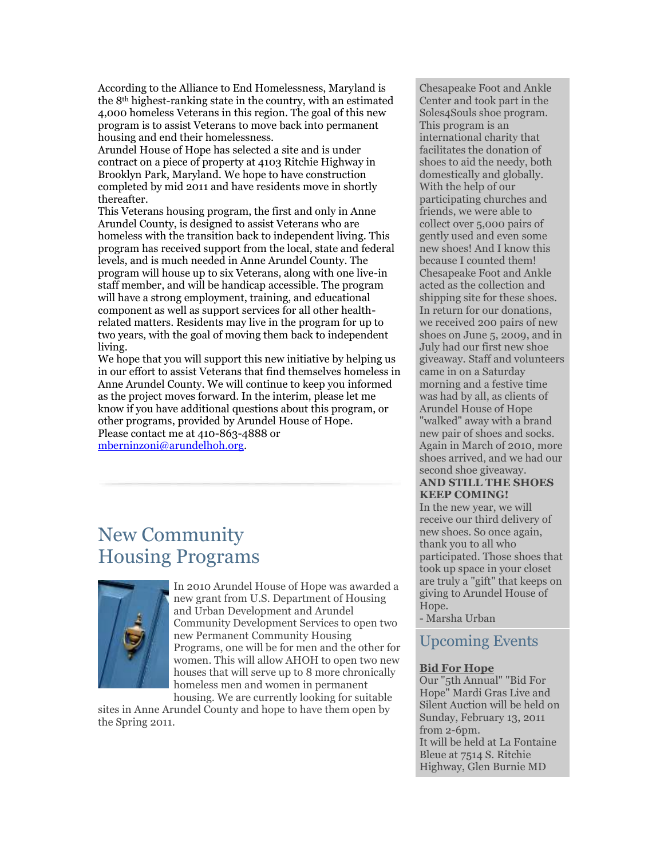According to the Alliance to End Homelessness, Maryland is the 8th highest-ranking state in the country, with an estimated 4,000 homeless Veterans in this region. The goal of this new program is to assist Veterans to move back into permanent housing and end their homelessness.

Arundel House of Hope has selected a site and is under contract on a piece of property at 4103 Ritchie Highway in Brooklyn Park, Maryland. We hope to have construction completed by mid 2011 and have residents move in shortly thereafter.

This Veterans housing program, the first and only in Anne Arundel County, is designed to assist Veterans who are homeless with the transition back to independent living. This program has received support from the local, state and federal levels, and is much needed in Anne Arundel County. The program will house up to six Veterans, along with one live-in staff member, and will be handicap accessible. The program will have a strong employment, training, and educational component as well as support services for all other healthrelated matters. Residents may live in the program for up to two years, with the goal of moving them back to independent living.

We hope that you will support this new initiative by helping us in our effort to assist Veterans that find themselves homeless in Anne Arundel County. We will continue to keep you informed as the project moves forward. In the interim, please let me know if you have additional questions about this program, or other programs, provided by Arundel House of Hope. Please contact me at 410-863-4888 or [mberninzoni@arundelhoh.org.](mailto:mberninzoni@arundelhoh.org)

## New Community Housing Programs



In 2010 Arundel House of Hope was awarded a new grant from U.S. Department of Housing and Urban Development and Arundel Community Development Services to open two new Permanent Community Housing Programs, one will be for men and the other for women. This will allow AHOH to open two new houses that will serve up to 8 more chronically homeless men and women in permanent housing. We are currently looking for suitable

sites in Anne Arundel County and hope to have them open by the Spring 2011.

Chesapeake Foot and Ankle Center and took part in the Soles4Souls shoe program. This program is an international charity that facilitates the donation of shoes to aid the needy, both domestically and globally. With the help of our participating churches and friends, we were able to collect over 5,000 pairs of gently used and even some new shoes! And I know this because I counted them! Chesapeake Foot and Ankle acted as the collection and shipping site for these shoes. In return for our donations, we received 200 pairs of new shoes on June 5, 2009, and in July had our first new shoe giveaway. Staff and volunteers came in on a Saturday morning and a festive time was had by all, as clients of Arundel House of Hope "walked" away with a brand new pair of shoes and socks. Again in March of 2010, more shoes arrived, and we had our second shoe giveaway. **AND STILL THE SHOES KEEP COMING!** 

In the new year, we will receive our third delivery of new shoes. So once again, thank you to all who participated. Those shoes that took up space in your closet are truly a "gift" that keeps on giving to Arundel House of Hope.

- Marsha Urban

#### Upcoming Events

#### **Bid For Hope**

Our "5th Annual" "Bid For Hope" Mardi Gras Live and Silent Auction will be held on Sunday, February 13, 2011 from 2-6pm. It will be held at La Fontaine Bleue at 7514 S. Ritchie Highway, Glen Burnie MD